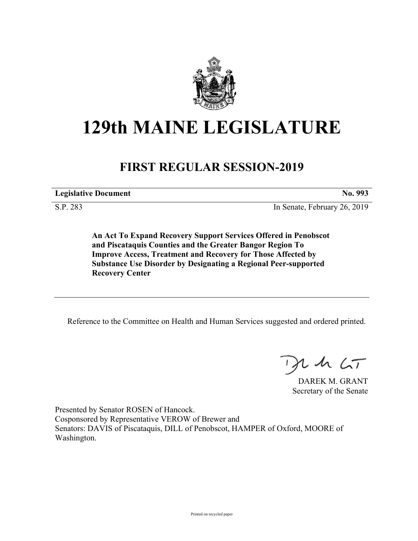

# **129th MAINE LEGISLATURE**

## **FIRST REGULAR SESSION-2019**

**Legislative Document No. 993**

S.P. 283 In Senate, February 26, 2019

**An Act To Expand Recovery Support Services Offered in Penobscot and Piscataquis Counties and the Greater Bangor Region To Improve Access, Treatment and Recovery for Those Affected by Substance Use Disorder by Designating a Regional Peer-supported Recovery Center**

Reference to the Committee on Health and Human Services suggested and ordered printed.

 $125$ 

DAREK M. GRANT Secretary of the Senate

Presented by Senator ROSEN of Hancock. Cosponsored by Representative VEROW of Brewer and Senators: DAVIS of Piscataquis, DILL of Penobscot, HAMPER of Oxford, MOORE of Washington.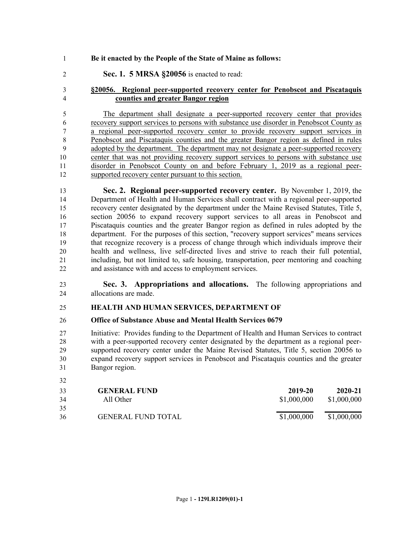### **Be it enacted by the People of the State of Maine as follows:**

**Sec. 1. 5 MRSA §20056** is enacted to read:

### **§20056. Regional peer-supported recovery center for Penobscot and Piscataquis counties and greater Bangor region**

 The department shall designate a peer-supported recovery center that provides recovery support services to persons with substance use disorder in Penobscot County as a regional peer-supported recovery center to provide recovery support services in Penobscot and Piscataquis counties and the greater Bangor region as defined in rules adopted by the department. The department may not designate a peer-supported recovery center that was not providing recovery support services to persons with substance use disorder in Penobscot County on and before February 1, 2019 as a regional peer-supported recovery center pursuant to this section.

 **Sec. 2. Regional peer-supported recovery center.** By November 1, 2019, the Department of Health and Human Services shall contract with a regional peer-supported recovery center designated by the department under the Maine Revised Statutes, Title 5, section 20056 to expand recovery support services to all areas in Penobscot and Piscataquis counties and the greater Bangor region as defined in rules adopted by the department. For the purposes of this section, "recovery support services" means services that recognize recovery is a process of change through which individuals improve their health and wellness, live self-directed lives and strive to reach their full potential, including, but not limited to, safe housing, transportation, peer mentoring and coaching and assistance with and access to employment services.

### **Sec. 3. Appropriations and allocations.** The following appropriations and allocations are made.

#### **HEALTH AND HUMAN SERVICES, DEPARTMENT OF**

### **Office of Substance Abuse and Mental Health Services 0679**

 Initiative: Provides funding to the Department of Health and Human Services to contract with a peer-supported recovery center designated by the department as a regional peer- supported recovery center under the Maine Revised Statutes, Title 5, section 20056 to expand recovery support services in Penobscot and Piscataquis counties and the greater Bangor region.

| 33<br>34 | <b>GENERAL FUND</b><br>All Other | 2019-20<br>\$1,000,000 | 2020-21<br>\$1,000,000 |
|----------|----------------------------------|------------------------|------------------------|
| 35       |                                  |                        |                        |
| 36       | <b>GENERAL FUND TOTAL</b>        | \$1,000,000            | \$1,000,000            |